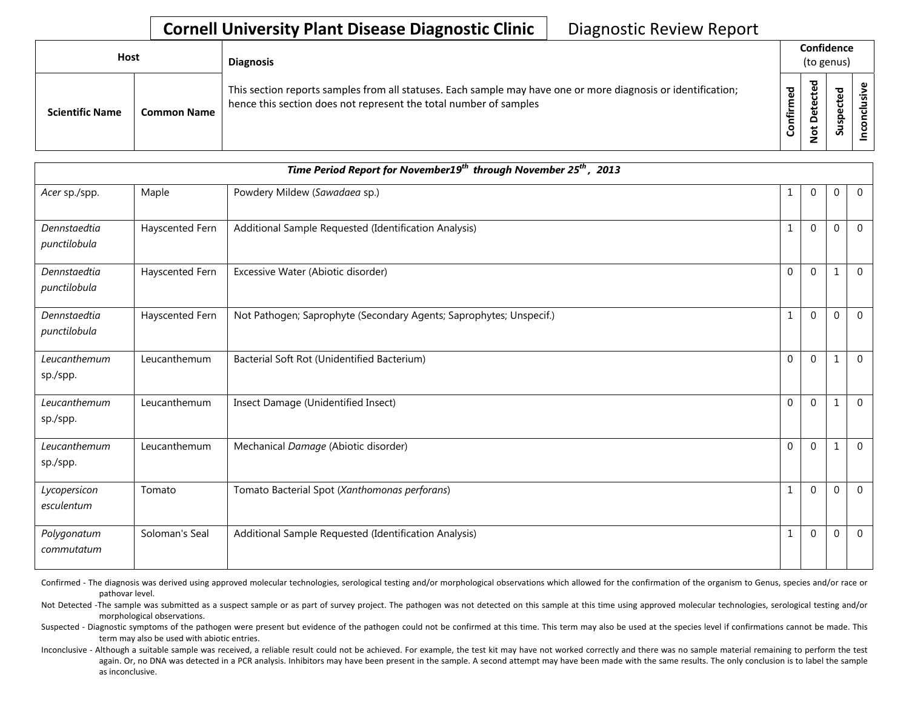## **Cornell University Plant Disease Diagnostic Clinic** | Diagnostic Review Report

| <b>Host</b> |                        |                    | <b>Diagnosis</b>                                                                                                                                                                   | Confidence<br>(to genus) |                                              |                         |          |  |
|-------------|------------------------|--------------------|------------------------------------------------------------------------------------------------------------------------------------------------------------------------------------|--------------------------|----------------------------------------------|-------------------------|----------|--|
|             | <b>Scientific Name</b> | <b>Common Name</b> | This section reports samples from all statuses. Each sample may have one or more diagnosis or identification;<br>hence this section does not represent the total number of samples | 5g<br>٤<br>nfir<br>ပ     | ᅙ<br>ይ<br>ں<br>ይ<br>٥<br>۵<br>ى<br>$\dot{S}$ | ▿<br>یو<br>ں<br>9s<br>S | <u>÷</u> |  |

| Time Period Report for November19 <sup>th</sup> through November 25 <sup>th</sup> , 2013 |                 |                                                                     |              |                |                  |             |  |
|------------------------------------------------------------------------------------------|-----------------|---------------------------------------------------------------------|--------------|----------------|------------------|-------------|--|
| Acer sp./spp.                                                                            | Maple           | Powdery Mildew (Sawadaea sp.)                                       | $\mathbf{1}$ | $\mathbf 0$    | $\boldsymbol{0}$ | $\mathbf 0$ |  |
| Dennstaedtia<br>punctilobula                                                             | Hayscented Fern | Additional Sample Requested (Identification Analysis)               | $\mathbf{1}$ | $\Omega$       | $\Omega$         | $\Omega$    |  |
| Dennstaedtia<br>punctilobula                                                             | Hayscented Fern | Excessive Water (Abiotic disorder)                                  | $\mathbf{0}$ | $\Omega$       | $\mathbf{1}$     | $\Omega$    |  |
| Dennstaedtia<br>punctilobula                                                             | Hayscented Fern | Not Pathogen; Saprophyte (Secondary Agents; Saprophytes; Unspecif.) | $\mathbf{1}$ | $\overline{0}$ | $\mathbf{0}$     | $\mathbf 0$ |  |
| Leucanthemum<br>sp./spp.                                                                 | Leucanthemum    | Bacterial Soft Rot (Unidentified Bacterium)                         | $\mathbf{0}$ | $\mathbf 0$    | $\mathbf{1}$     | $\Omega$    |  |
| Leucanthemum<br>sp./spp.                                                                 | Leucanthemum    | Insect Damage (Unidentified Insect)                                 | $\mathbf{0}$ | $\overline{0}$ | $\mathbf{1}$     | $\mathbf 0$ |  |
| Leucanthemum<br>sp./spp.                                                                 | Leucanthemum    | Mechanical Damage (Abiotic disorder)                                | $\Omega$     | $\Omega$       | $\mathbf{1}$     | $\mathbf 0$ |  |
| Lycopersicon<br>esculentum                                                               | Tomato          | Tomato Bacterial Spot (Xanthomonas perforans)                       | $\mathbf{1}$ | $\Omega$       | $\Omega$         | $\Omega$    |  |
| Polygonatum<br>commutatum                                                                | Soloman's Seal  | Additional Sample Requested (Identification Analysis)               | $\mathbf{1}$ | $\mathbf 0$    | $\mathbf{0}$     | $\mathbf 0$ |  |

Confirmed - The diagnosis was derived using approved molecular technologies, serological testing and/or morphological observations which allowed for the confirmation of the organism to Genus, species and/or race or pathovar level.

Not Detected -The sample was submitted as a suspect sample or as part of survey project. The pathogen was not detected on this sample at this time using approved molecular technologies, serological testing and/or morphological observations.

Suspected - Diagnostic symptoms of the pathogen were present but evidence of the pathogen could not be confirmed at this time. This term may also be used at the species level if confirmations cannot be made. This term may also be used with abiotic entries.

Inconclusive - Although a suitable sample was received, a reliable result could not be achieved. For example, the test kit may have not worked correctly and there was no sample material remaining to perform the test again. Or, no DNA was detected in a PCR analysis. Inhibitors may have been present in the sample. A second attempt may have been made with the same results. The only conclusion is to label the sample as inconclusive.